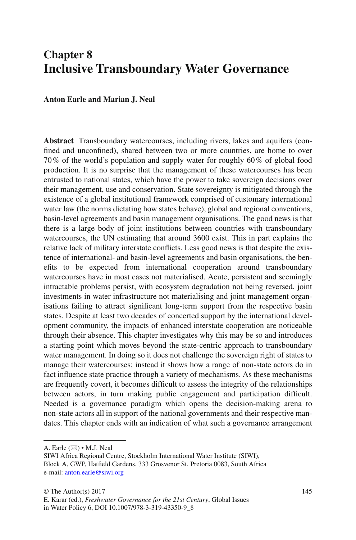# **Chapter 8 Inclusive Transboundary Water Governance**

#### **Anton Earle and Marian J. Neal**

 **Abstract** Transboundary watercourses, including rivers, lakes and aquifers (confined and unconfined), shared between two or more countries, are home to over 70 % of the world's population and supply water for roughly 60 % of global food production. It is no surprise that the management of these watercourses has been entrusted to national states, which have the power to take sovereign decisions over their management, use and conservation. State sovereignty is mitigated through the existence of a global institutional framework comprised of customary international water law (the norms dictating how states behave), global and regional conventions, basin-level agreements and basin management organisations. The good news is that there is a large body of joint institutions between countries with transboundary watercourses, the UN estimating that around 3600 exist. This in part explains the relative lack of military interstate conflicts. Less good news is that despite the existence of international- and basin-level agreements and basin organisations, the benefits to be expected from international cooperation around transboundary watercourses have in most cases not materialised. Acute, persistent and seemingly intractable problems persist, with ecosystem degradation not being reversed, joint investments in water infrastructure not materialising and joint management organisations failing to attract significant long-term support from the respective basin states. Despite at least two decades of concerted support by the international development community, the impacts of enhanced interstate cooperation are noticeable through their absence. This chapter investigates why this may be so and introduces a starting point which moves beyond the state-centric approach to transboundary water management. In doing so it does not challenge the sovereign right of states to manage their watercourses; instead it shows how a range of non-state actors do in fact influence state practice through a variety of mechanisms. As these mechanisms are frequently covert, it becomes difficult to assess the integrity of the relationships between actors, in turn making public engagement and participation difficult. Needed is a governance paradigm which opens the decision-making arena to non- state actors all in support of the national governments and their respective mandates. This chapter ends with an indication of what such a governance arrangement

A. Earle  $(\boxtimes) \cdot M.J.$  Neal

SIWI Africa Regional Centre, Stockholm International Water Institute (SIWI), Block A, GWP, Hatfield Gardens, 333 Grosvenor St, Pretoria 0083, South Africa e-mail: [anton.earle@siwi.org](mailto:anton.earle@siwi.org)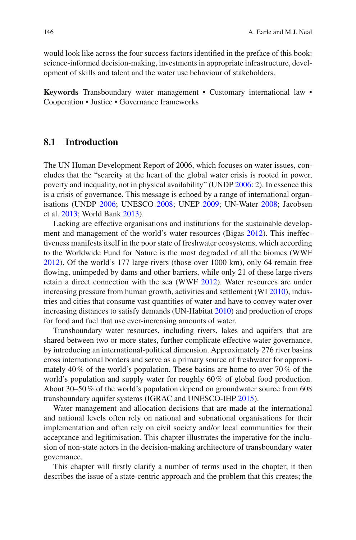would look like across the four success factors identified in the preface of this book: science- informed decision-making, investments in appropriate infrastructure, development of skills and talent and the water use behaviour of stakeholders.

 **Keywords** Transboundary water management • Customary international law • Cooperation • Justice • Governance frameworks

## **8.1 Introduction**

 The UN Human Development Report of 2006, which focuses on water issues, concludes that the "scarcity at the heart of the global water crisis is rooted in power, poverty and inequality, not in physical availability" (UNDP [2006](#page-13-0): 2). In essence this is a crisis of governance. This message is echoed by a range of international organisations (UNDP 2006; UNESCO 2008; UNEP 2009; UN-Water 2008; Jacobsen et al. 2013; World Bank 2013).

 Lacking are effective organisations and institutions for the sustainable development and management of the world's water resources (Bigas 2012). This ineffectiveness manifests itself in the poor state of freshwater ecosystems, which according to the Worldwide Fund for Nature is the most degraded of all the biomes (WWF [2012 \)](#page-13-0). Of the world's 177 large rivers (those over 1000 km), only 64 remain free flowing, unimpeded by dams and other barriers, while only 21 of these large rivers retain a direct connection with the sea (WWF [2012](#page-13-0)). Water resources are under increasing pressure from human growth, activities and settlement (WI 2010), industries and cities that consume vast quantities of water and have to convey water over increasing distances to satisfy demands (UN-Habitat [2010](#page-13-0)) and production of crops for food and fuel that use ever-increasing amounts of water.

 Transboundary water resources, including rivers, lakes and aquifers that are shared between two or more states, further complicate effective water governance, by introducing an international-political dimension. Approximately 276 river basins cross international borders and serve as a primary source of freshwater for approximately 40 % of the world's population. These basins are home to over 70 % of the world's population and supply water for roughly 60% of global food production. About 30–50 % of the world's population depend on groundwater source from 608 transboundary aquifer systems (IGRAC and UNESCO-IHP 2015).

 Water management and allocation decisions that are made at the international and national levels often rely on national and subnational organisations for their implementation and often rely on civil society and/or local communities for their acceptance and legitimisation. This chapter illustrates the imperative for the inclusion of non-state actors in the decision-making architecture of transboundary water governance.

This chapter will firstly clarify a number of terms used in the chapter; it then describes the issue of a state-centric approach and the problem that this creates; the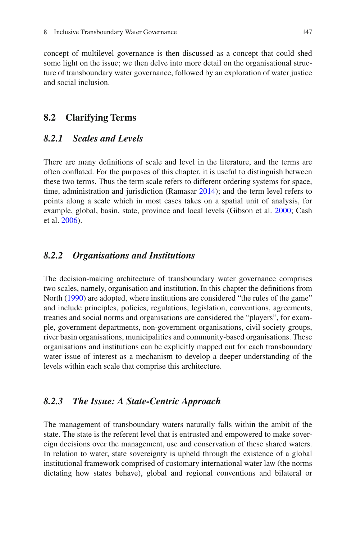concept of multilevel governance is then discussed as a concept that could shed some light on the issue; we then delve into more detail on the organisational structure of transboundary water governance, followed by an exploration of water justice and social inclusion.

# **8.2 Clarifying Terms**

## *8.2.1 Scales and Levels*

There are many definitions of scale and level in the literature, and the terms are often conflated. For the purposes of this chapter, it is useful to distinguish between these two terms. Thus the term scale refers to different ordering systems for space, time, administration and jurisdiction (Ramasar [2014 \)](#page-12-0); and the term level refers to points along a scale which in most cases takes on a spatial unit of analysis, for example, global, basin, state, province and local levels (Gibson et al. [2000](#page-12-0); Cash et al. 2006).

## *8.2.2 Organisations and Institutions*

 The decision-making architecture of transboundary water governance comprises two scales, namely, organisation and institution. In this chapter the definitions from North (1990) are adopted, where institutions are considered "the rules of the game" and include principles, policies, regulations, legislation, conventions, agreements, treaties and social norms and organisations are considered the "players", for example, government departments, non-government organisations, civil society groups, river basin organisations, municipalities and community-based organisations. These organisations and institutions can be explicitly mapped out for each transboundary water issue of interest as a mechanism to develop a deeper understanding of the levels within each scale that comprise this architecture.

# *8.2.3 The Issue: A State-Centric Approach*

 The management of transboundary waters naturally falls within the ambit of the state. The state is the referent level that is entrusted and empowered to make sovereign decisions over the management, use and conservation of these shared waters. In relation to water, state sovereignty is upheld through the existence of a global institutional framework comprised of customary international water law (the norms dictating how states behave), global and regional conventions and bilateral or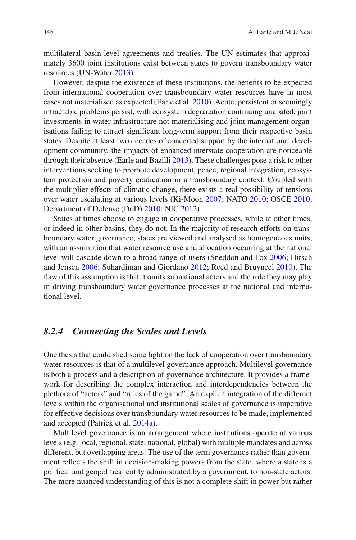multilateral basin-level agreements and treaties. The UN estimates that approximately 3600 joint institutions exist between states to govern transboundary water resources (UN-Water [2013](#page-13-0)).

However, despite the existence of these institutions, the benefits to be expected from international cooperation over transboundary water resources have in most cases not materialised as expected (Earle et al. 2010). Acute, persistent or seemingly intractable problems persist, with ecosystem degradation continuing unabated, joint investments in water infrastructure not materialising and joint management organisations failing to attract significant long-term support from their respective basin states. Despite at least two decades of concerted support by the international development community, the impacts of enhanced interstate cooperation are noticeable through their absence (Earle and Bazilli [2013 \)](#page-12-0). These challenges pose a risk to other interventions seeking to promote development, peace, regional integration, ecosystem protection and poverty eradication in a transboundary context. Coupled with the multiplier effects of climatic change, there exists a real possibility of tensions over water escalating at various levels (Ki-Moon 2007; NATO 2010; OSCE 2010; Department of Defense (DoD) [2010](#page-11-0); NIC [2012](#page-12-0)).

 States at times choose to engage in cooperative processes, while at other times, or indeed in other basins, they do not. In the majority of research efforts on transboundary water governance, states are viewed and analysed as homogeneous units, with an assumption that water resource use and allocation occurring at the national level will cascade down to a broad range of users (Sneddon and Fox [2006](#page-13-0); Hirsch and Jensen 2006; Suhardiman and Giordano [2012](#page-13-0); Reed and Bruyneel [2010](#page-12-0)). The flaw of this assumption is that it omits subnational actors and the role they may play in driving transboundary water governance processes at the national and international level.

## *8.2.4 Connecting the Scales and Levels*

 One thesis that could shed some light on the lack of cooperation over transboundary water resources is that of a multilevel governance approach. Multilevel governance is both a process and a description of governance architecture. It provides a framework for describing the complex interaction and interdependencies between the plethora of "actors" and "rules of the game". An explicit integration of the different levels within the organisational and institutional scales of governance is imperative for effective decisions over transboundary water resources to be made, implemented and accepted (Patrick et al. 2014a).

 Multilevel governance is an arrangement where institutions operate at various levels (e.g. local, regional, state, national, global) with multiple mandates and across different, but overlapping areas. The use of the term governance rather than government reflects the shift in decision-making powers from the state, where a state is a political and geopolitical entity administrated by a government, to non-state actors. The more nuanced understanding of this is not a complete shift in power but rather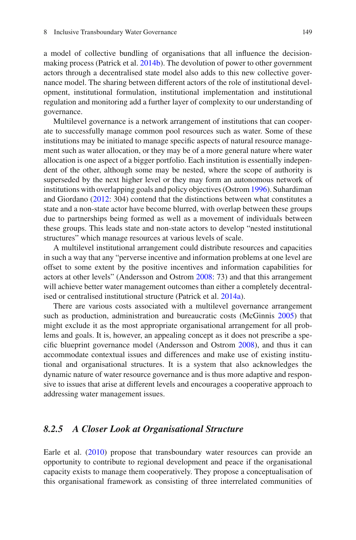a model of collective bundling of organisations that all influence the decisionmaking process (Patrick et al. 2014b). The devolution of power to other government actors through a decentralised state model also adds to this new collective governance model. The sharing between different actors of the role of institutional development, institutional formulation, institutional implementation and institutional regulation and monitoring add a further layer of complexity to our understanding of governance.

 Multilevel governance is a network arrangement of institutions that can cooperate to successfully manage common pool resources such as water. Some of these institutions may be initiated to manage specific aspects of natural resource management such as water allocation, or they may be of a more general nature where water allocation is one aspect of a bigger portfolio. Each institution is essentially independent of the other, although some may be nested, where the scope of authority is superseded by the next higher level or they may form an autonomous network of institutions with overlapping goals and policy objectives (Ostrom 1996). Suhardiman and Giordano  $(2012: 304)$  contend that the distinctions between what constitutes a state and a non-state actor have become blurred, with overlap between these groups due to partnerships being formed as well as a movement of individuals between these groups. This leads state and non-state actors to develop "nested institutional structures" which manage resources at various levels of scale.

 A multilevel institutional arrangement could distribute resources and capacities in such a way that any "perverse incentive and information problems at one level are offset to some extent by the positive incentives and information capabilities for actors at other levels" (Andersson and Ostrom [2008](#page-11-0): 73) and that this arrangement will achieve better water management outcomes than either a completely decentral-ised or centralised institutional structure (Patrick et al. [2014a](#page-12-0)).

 There are various costs associated with a multilevel governance arrangement such as production, administration and bureaucratic costs (McGinnis [2005](#page-12-0)) that might exclude it as the most appropriate organisational arrangement for all problems and goals. It is, however, an appealing concept as it does not prescribe a specific blueprint governance model (Andersson and Ostrom  $2008$ ), and thus it can accommodate contextual issues and differences and make use of existing institutional and organisational structures. It is a system that also acknowledges the dynamic nature of water resource governance and is thus more adaptive and responsive to issues that arise at different levels and encourages a cooperative approach to addressing water management issues.

## *8.2.5 A Closer Look at Organisational Structure*

Earle et al. (2010) propose that transboundary water resources can provide an opportunity to contribute to regional development and peace if the organisational capacity exists to manage them cooperatively. They propose a conceptualisation of this organisational framework as consisting of three interrelated communities of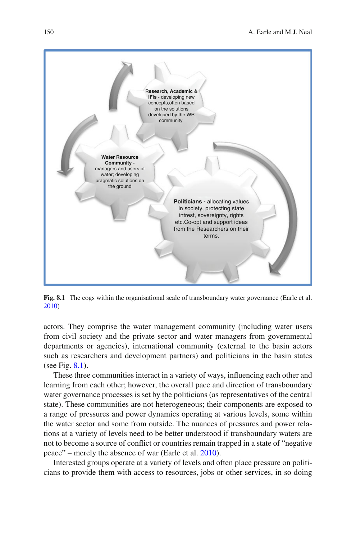

**Fig. 8.1** The cogs within the organisational scale of transboundary water governance (Earle et al. 2010)

actors. They comprise the water management community (including water users from civil society and the private sector and water managers from governmental departments or agencies), international community (external to the basin actors such as researchers and development partners) and politicians in the basin states (see Fig.  $8.1$ ).

These three communities interact in a variety of ways, influencing each other and learning from each other; however, the overall pace and direction of transboundary water governance processes is set by the politicians (as representatives of the central state). These communities are not heterogeneous; their components are exposed to a range of pressures and power dynamics operating at various levels, some within the water sector and some from outside. The nuances of pressures and power relations at a variety of levels need to be better understood if transboundary waters are not to become a source of conflict or countries remain trapped in a state of "negative" peace" – merely the absence of war (Earle et al. [2010](#page-12-0)).

 Interested groups operate at a variety of levels and often place pressure on politicians to provide them with access to resources, jobs or other services, in so doing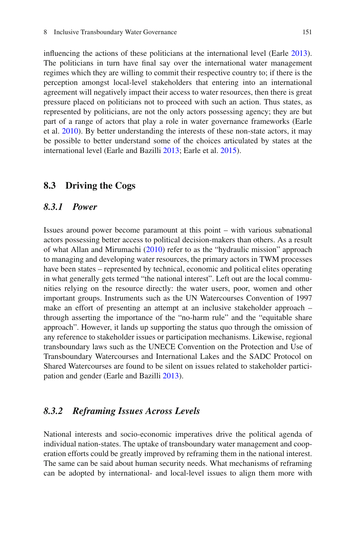influencing the actions of these politicians at the international level (Earle 2013). The politicians in turn have final say over the international water management regimes which they are willing to commit their respective country to; if there is the perception amongst local-level stakeholders that entering into an international agreement will negatively impact their access to water resources, then there is great pressure placed on politicians not to proceed with such an action. Thus states, as represented by politicians, are not the only actors possessing agency; they are but part of a range of actors that play a role in water governance frameworks (Earle et al. 2010). By better understanding the interests of these non-state actors, it may be possible to better understand some of the choices articulated by states at the international level (Earle and Bazilli [2013](#page-12-0); Earle et al. [2015](#page-12-0)).

### **8.3 Driving the Cogs**

# *8.3.1 Power*

 Issues around power become paramount at this point – with various subnational actors possessing better access to political decision-makers than others. As a result of what Allan and Mirumachi  $(2010)$  refer to as the "hydraulic mission" approach to managing and developing water resources, the primary actors in TWM processes have been states – represented by technical, economic and political elites operating in what generally gets termed "the national interest". Left out are the local communities relying on the resource directly: the water users, poor, women and other important groups. Instruments such as the UN Watercourses Convention of 1997 make an effort of presenting an attempt at an inclusive stakeholder approach – through asserting the importance of the "no-harm rule" and the "equitable share approach". However, it lands up supporting the status quo through the omission of any reference to stakeholder issues or participation mechanisms. Likewise, regional transboundary laws such as the UNECE Convention on the Protection and Use of Transboundary Watercourses and International Lakes and the SADC Protocol on Shared Watercourses are found to be silent on issues related to stakeholder partici-pation and gender (Earle and Bazilli [2013](#page-12-0)).

## *8.3.2 Reframing Issues Across Levels*

 National interests and socio-economic imperatives drive the political agenda of individual nation-states. The uptake of transboundary water management and cooperation efforts could be greatly improved by reframing them in the national interest. The same can be said about human security needs. What mechanisms of reframing can be adopted by international- and local-level issues to align them more with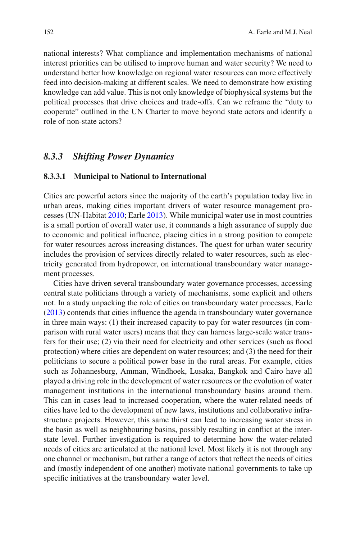national interests? What compliance and implementation mechanisms of national interest priorities can be utilised to improve human and water security? We need to understand better how knowledge on regional water resources can more effectively feed into decision-making at different scales. We need to demonstrate how existing knowledge can add value. This is not only knowledge of biophysical systems but the political processes that drive choices and trade-offs. Can we reframe the "duty to cooperate" outlined in the UN Charter to move beyond state actors and identify a role of non-state actors?

## *8.3.3 Shifting Power Dynamics*

#### **8.3.3.1 Municipal to National to International**

 Cities are powerful actors since the majority of the earth's population today live in urban areas, making cities important drivers of water resource management processes (UN-Habitat 2010; Earle 2013). While municipal water use in most countries is a small portion of overall water use, it commands a high assurance of supply due to economic and political influence, placing cities in a strong position to compete for water resources across increasing distances. The quest for urban water security includes the provision of services directly related to water resources, such as electricity generated from hydropower, on international transboundary water management processes.

 Cities have driven several transboundary water governance processes, accessing central state politicians through a variety of mechanisms, some explicit and others not. In a study unpacking the role of cities on transboundary water processes, Earle  $(2013)$  contends that cities influence the agenda in transboundary water governance in three main ways: (1) their increased capacity to pay for water resources (in comparison with rural water users) means that they can harness large-scale water transfers for their use;  $(2)$  via their need for electricity and other services (such as flood protection) where cities are dependent on water resources; and (3) the need for their politicians to secure a political power base in the rural areas. For example, cities such as Johannesburg, Amman, Windhoek, Lusaka, Bangkok and Cairo have all played a driving role in the development of water resources or the evolution of water management institutions in the international transboundary basins around them. This can in cases lead to increased cooperation, where the water-related needs of cities have led to the development of new laws, institutions and collaborative infrastructure projects. However, this same thirst can lead to increasing water stress in the basin as well as neighbouring basins, possibly resulting in conflict at the interstate level. Further investigation is required to determine how the water-related needs of cities are articulated at the national level. Most likely it is not through any one channel or mechanism, but rather a range of actors that reflect the needs of cities and (mostly independent of one another) motivate national governments to take up specific initiatives at the transboundary water level.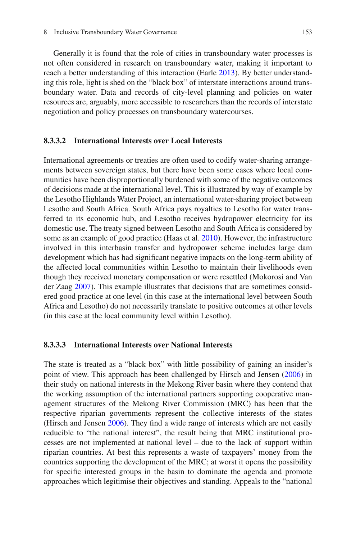Generally it is found that the role of cities in transboundary water processes is not often considered in research on transboundary water, making it important to reach a better understanding of this interaction (Earle [2013](#page-12-0)). By better understanding this role, light is shed on the "black box" of interstate interactions around transboundary water. Data and records of city-level planning and policies on water resources are, arguably, more accessible to researchers than the records of interstate negotiation and policy processes on transboundary watercourses.

#### **8.3.3.2 International Interests over Local Interests**

 International agreements or treaties are often used to codify water-sharing arrangements between sovereign states, but there have been some cases where local communities have been disproportionally burdened with some of the negative outcomes of decisions made at the international level. This is illustrated by way of example by the Lesotho Highlands Water Project, an international water-sharing project between Lesotho and South Africa. South Africa pays royalties to Lesotho for water transferred to its economic hub, and Lesotho receives hydropower electricity for its domestic use. The treaty signed between Lesotho and South Africa is considered by some as an example of good practice (Haas et al. [2010 \)](#page-12-0). However, the infrastructure involved in this interbasin transfer and hydropower scheme includes large dam development which has had significant negative impacts on the long-term ability of the affected local communities within Lesotho to maintain their livelihoods even though they received monetary compensation or were resettled (Mokorosi and Van der Zaag [2007](#page-12-0)). This example illustrates that decisions that are sometimes considered good practice at one level (in this case at the international level between South Africa and Lesotho) do not necessarily translate to positive outcomes at other levels (in this case at the local community level within Lesotho).

#### **8.3.3.3 International Interests over National Interests**

 The state is treated as a "black box" with little possibility of gaining an insider's point of view. This approach has been challenged by Hirsch and Jensen (2006) in their study on national interests in the Mekong River basin where they contend that the working assumption of the international partners supporting cooperative management structures of the Mekong River Commission (MRC) has been that the respective riparian governments represent the collective interests of the states (Hirsch and Jensen  $2006$ ). They find a wide range of interests which are not easily reducible to "the national interest", the result being that MRC institutional processes are not implemented at national level – due to the lack of support within riparian countries. At best this represents a waste of taxpayers' money from the countries supporting the development of the MRC; at worst it opens the possibility for specific interested groups in the basin to dominate the agenda and promote approaches which legitimise their objectives and standing. Appeals to the "national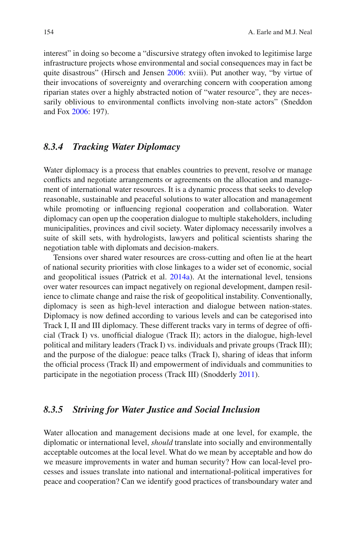interest" in doing so become a "discursive strategy often invoked to legitimise large infrastructure projects whose environmental and social consequences may in fact be quite disastrous" (Hirsch and Jensen 2006: xviii). Put another way, "by virtue of their invocations of sovereignty and overarching concern with cooperation among riparian states over a highly abstracted notion of "water resource", they are necessarily oblivious to environmental conflicts involving non-state actors" (Sneddon and Fox 2006: 197).

# *8.3.4 Tracking Water Diplomacy*

Water diplomacy is a process that enables countries to prevent, resolve or manage conflicts and negotiate arrangements or agreements on the allocation and management of international water resources. It is a dynamic process that seeks to develop reasonable, sustainable and peaceful solutions to water allocation and management while promoting or influencing regional cooperation and collaboration. Water diplomacy can open up the cooperation dialogue to multiple stakeholders, including municipalities, provinces and civil society. Water diplomacy necessarily involves a suite of skill sets, with hydrologists, lawyers and political scientists sharing the negotiation table with diplomats and decision-makers.

 Tensions over shared water resources are cross-cutting and often lie at the heart of national security priorities with close linkages to a wider set of economic, social and geopolitical issues (Patrick et al.  $2014a$ ). At the international level, tensions over water resources can impact negatively on regional development, dampen resilience to climate change and raise the risk of geopolitical instability. Conventionally, diplomacy is seen as high-level interaction and dialogue between nation-states. Diplomacy is now defined according to various levels and can be categorised into Track I, II and III diplomacy. These different tracks vary in terms of degree of official (Track I) vs. unofficial dialogue (Track II); actors in the dialogue, high-level political and military leaders (Track I) vs. individuals and private groups (Track III); and the purpose of the dialogue: peace talks (Track I), sharing of ideas that inform the official process (Track II) and empowerment of individuals and communities to participate in the negotiation process (Track III) (Snodderly 2011).

# *8.3.5 Striving for Water Justice and Social Inclusion*

 Water allocation and management decisions made at one level, for example, the diplomatic or international level, *should* translate into socially and environmentally acceptable outcomes at the local level. What do we mean by acceptable and how do we measure improvements in water and human security? How can local-level processes and issues translate into national and international-political imperatives for peace and cooperation? Can we identify good practices of transboundary water and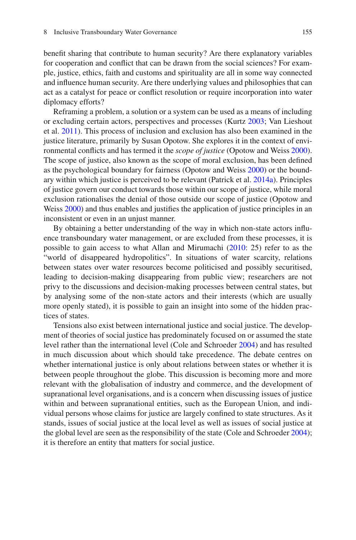benefit sharing that contribute to human security? Are there explanatory variables for cooperation and conflict that can be drawn from the social sciences? For example, justice, ethics, faith and customs and spirituality are all in some way connected and influence human security. Are there underlying values and philosophies that can act as a catalyst for peace or conflict resolution or require incorporation into water diplomacy efforts?

 Reframing a problem, a solution or a system can be used as a means of including or excluding certain actors, perspectives and processes (Kurtz [2003](#page-12-0) ; Van Lieshout et al. [2011](#page-13-0) ). This process of inclusion and exclusion has also been examined in the justice literature, primarily by Susan Opotow. She explores it in the context of environmental conflicts and has termed it the *scope of justice* (Opotow and Weiss 2000). The scope of justice, also known as the scope of moral exclusion, has been defined as the psychological boundary for fairness (Opotow and Weiss 2000) or the bound-ary within which justice is perceived to be relevant (Patrick et al. [2014a](#page-12-0)). Principles of justice govern our conduct towards those within our scope of justice, while moral exclusion rationalises the denial of those outside our scope of justice (Opotow and Weiss 2000) and thus enables and justifies the application of justice principles in an inconsistent or even in an unjust manner.

By obtaining a better understanding of the way in which non-state actors influence transboundary water management, or are excluded from these processes, it is possible to gain access to what Allan and Mirumachi  $(2010: 25)$  refer to as the "world of disappeared hydropolitics". In situations of water scarcity, relations between states over water resources become politicised and possibly securitised, leading to decision-making disappearing from public view; researchers are not privy to the discussions and decision-making processes between central states, but by analysing some of the non-state actors and their interests (which are usually more openly stated), it is possible to gain an insight into some of the hidden practices of states.

 Tensions also exist between international justice and social justice. The development of theories of social justice has predominately focused on or assumed the state level rather than the international level (Cole and Schroeder [2004](#page-11-0)) and has resulted in much discussion about which should take precedence. The debate centres on whether international justice is only about relations between states or whether it is between people throughout the globe. This discussion is becoming more and more relevant with the globalisation of industry and commerce, and the development of supranational level organisations, and is a concern when discussing issues of justice within and between supranational entities, such as the European Union, and individual persons whose claims for justice are largely confined to state structures. As it stands, issues of social justice at the local level as well as issues of social justice at the global level are seen as the responsibility of the state (Cole and Schroeder [2004](#page-11-0) ); it is therefore an entity that matters for social justice.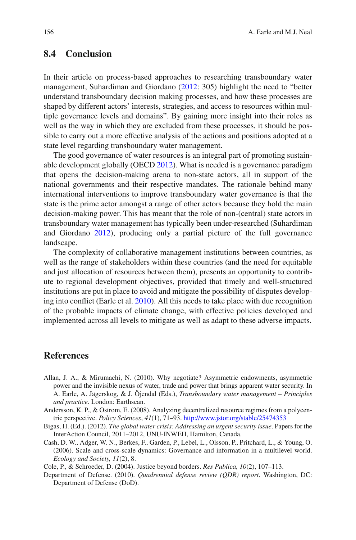# <span id="page-11-0"></span>**8.4 Conclusion**

 In their article on process-based approaches to researching transboundary water management, Suhardiman and Giordano (2012: 305) highlight the need to "better understand transboundary decision making processes, and how these processes are shaped by different actors' interests, strategies, and access to resources within multiple governance levels and domains". By gaining more insight into their roles as well as the way in which they are excluded from these processes, it should be possible to carry out a more effective analysis of the actions and positions adopted at a state level regarding transboundary water management.

 The good governance of water resources is an integral part of promoting sustainable development globally (OECD [2012 \)](#page-12-0). What is needed is a governance paradigm that opens the decision-making arena to non-state actors, all in support of the national governments and their respective mandates. The rationale behind many international interventions to improve transboundary water governance is that the state is the prime actor amongst a range of other actors because they hold the main decision-making power. This has meant that the role of non-(central) state actors in transboundary water management has typically been under-researched (Suhardiman and Giordano  $2012$ ), producing only a partial picture of the full governance landscape.

 The complexity of collaborative management institutions between countries, as well as the range of stakeholders within these countries (and the need for equitable and just allocation of resources between them), presents an opportunity to contribute to regional development objectives, provided that timely and well-structured institutions are put in place to avoid and mitigate the possibility of disputes developing into conflict (Earle et al. 2010). All this needs to take place with due recognition of the probable impacts of climate change, with effective policies developed and implemented across all levels to mitigate as well as adapt to these adverse impacts.

# **References**

- Allan, J. A., & Mirumachi, N. (2010). Why negotiate? Asymmetric endowments, asymmetric power and the invisible nexus of water, trade and power that brings apparent water security. In A. Earle, A. Jägerskog, & J. Öjendal (Eds.), *Transboundary water management – Principles and practice* . London: Earthscan.
- Andersson, K. P., & Ostrom, E. (2008). Analyzing decentralized resource regimes from a polycentric perspective. *Policy Sciences* , *41* (1), 71–93. <http://www.jstor.org/stable/25474353>
- Bigas, H. (Ed.). (2012). *The global water crisis: Addressing an urgent security issue* . Papers for the InterAction Council, 2011–2012, UNU-INWEH, Hamilton, Canada.
- Cash, D. W., Adger, W. N., Berkes, F., Garden, P., Lebel, L., Olsson, P., Pritchard, L., & Young, O. (2006). Scale and cross-scale dynamics: Governance and information in a multilevel world. *Ecology and Society, 11* (2), 8.

Cole, P., & Schroeder, D. (2004). Justice beyond borders. *Res Publica, 10*(2), 107-113.

 Department of Defense. (2010). *Quadrennial defense review (QDR) report* . Washington, DC: Department of Defense (DoD).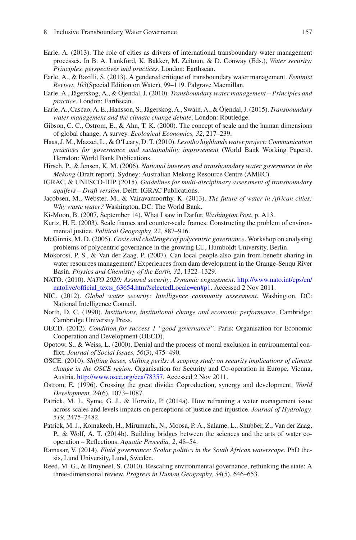- <span id="page-12-0"></span> Earle, A. (2013). The role of cities as drivers of international transboundary water management processes. In B. A. Lankford, K. Bakker, M. Zeitoun, & D. Conway (Eds.), *Water security: Principles, perspectives and practices* . London: Earthscan.
- Earle, A., & Bazilli, S. (2013). A gendered critique of transboundary water management. *Feminist Review* , *103* (Special Edition on Water), 99–119. Palgrave Macmillan.
- Earle, A., Jägerskog, A., & Öjendal, J. (2010). *Transboundary water management Principles and practice* . London: Earthscan.
- Earle, A., Cascao, A. E., Hansson, S., Jägerskog, A., Swain, A., & Öjendal, J. (2015). *Transboundary water management and the climate change debate* . London: Routledge.
- Gibson, C. C., Ostrom, E., & Ahn, T. K. (2000). The concept of scale and the human dimensions of global change: A survey. *Ecological Economics, 32* , 217–239.
- Haas, J. M., Mazzei, L., & O'Leary, D. T. (2010). *Lesotho highlands water project: Communication practices for governance and sustainability improvement* (World Bank Working Papers). Herndon: World Bank Publications.
- Hirsch, P., & Jensen, K. M. (2006). *National interests and transboundary water governance in the Mekong* (Draft report). Sydney: Australian Mekong Resource Centre (AMRC).
- IGRAC, & UNESCO-IHP. (2015). *Guidelines for multi-disciplinary assessment of transboundary aquifers – Draft version* . Delft: IGRAC Publications.
- Jacobsen, M., Webster, M., & Vairavamoorthy, K. (2013). *The future of water in African cities: Why waste water?* Washington, DC: The World Bank.
- Ki-Moon, B. (2007, September 14). What I saw in Darfur. *Washington Post* , p. A13.
- Kurtz, H. E. (2003). Scale frames and counter-scale frames: Constructing the problem of environmental justice. *Political Geography, 22* , 887–916.
- McGinnis, M. D. (2005). *Costs and challenges of polycentric governance* . Workshop on analysing problems of polycentric governance in the growing EU, Humboldt University, Berlin.
- Mokorosi, P. S., & Van der Zaag, P. (2007). Can local people also gain from benefi t sharing in water resources management? Experiences from dam development in the Orange-Senqu River Basin. *Physics and Chemistry of the Earth, 32* , 1322–1329.
- NATO. (2010). *NATO 2020: Assured security; Dynamic engagement* . [http://www.nato.int/cps/en/](http://www.nato.int/cps/en/natolive/official_texts_63654.htm?selectedLocale=en#p1) natolive/official\_texts\_63654.htm?selectedLocale=en#p1. Accessed 2 Nov 2011.
- NIC. (2012). *Global water security: Intelligence community assessment* . Washington, DC: National Intelligence Council.
- North, D. C. (1990). *Institutions, institutional change and economic performance* . Cambridge: Cambridge University Press.
- OECD. (2012). *Condition for success 1 "good governance"* . Paris: Organisation for Economic Cooperation and Development (OECD).
- Opotow, S., & Weiss, L. (2000). Denial and the process of moral exclusion in environmental conflict. *Journal of Social Issues*, 56(3), 475-490.
- OSCE. (2010). *Shifting bases, shifting perils: A scoping study on security implications of climate change in the OSCE region* . Organisation for Security and Co-operation in Europe, Vienna, Austria.<http://www.osce.org/eea/78357>. Accessed 2 Nov 2011.
- Ostrom, E. (1996). Crossing the great divide: Coproduction, synergy and development. *World Development, 24* (6), 1073–1087.
- Patrick, M. J., Syme, G. J., & Horwitz, P. (2014a). How reframing a water management issue across scales and levels impacts on perceptions of justice and injustice. *Journal of Hydrology, 519* , 2475–2482.
- Patrick, M. J., Komakech, H., Mirumachi, N., Moosa, P. A., Salame, L., Shubber, Z., Van der Zaag, P., & Wolf, A. T. (2014b). Building bridges between the sciences and the arts of water cooperation – Reflections. *Aquatic Procedia*, 2, 48–54.
- Ramasar, V. (2014). *Fluid governance: Scalar politics in the South African waterscape* . PhD thesis, Lund University, Lund, Sweden.
- Reed, M. G., & Bruyneel, S. (2010). Rescaling environmental governance, rethinking the state: A three-dimensional review. *Progress in Human Geography, 34* (5), 646–653.